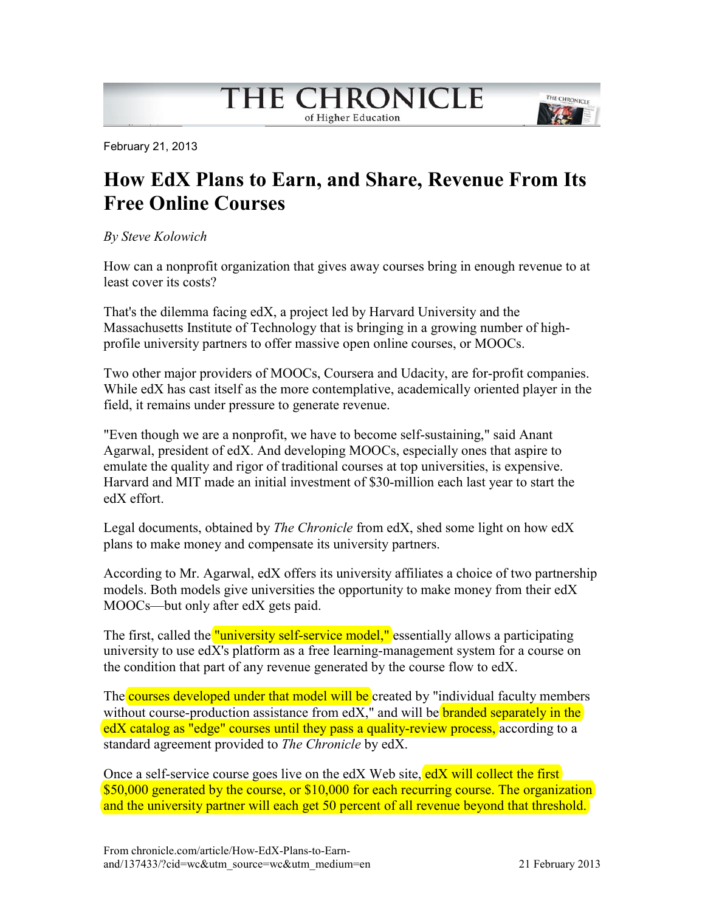# THE CHRONICLE

of Higher Education



February 21, 2013

## **How EdX Plans to Earn, and Share, Revenue From Its Free Online Courses**

#### *By Steve Kolowich*

How can a nonprofit organization that gives away courses bring in enough revenue to at least cover its costs?

That's the dilemma facing edX, a project led by Harvard University and the Massachusetts Institute of Technology that is bringing in a growing number of highprofile university partners to offer massive open online courses, or MOOCs.

Two other major providers of MOOCs, Coursera and Udacity, are for-profit companies. While edX has cast itself as the more contemplative, academically oriented player in the field, it remains under pressure to generate revenue.

"Even though we are a nonprofit, we have to become self-sustaining," said Anant Agarwal, president of edX. And developing MOOCs, especially ones that aspire to emulate the quality and rigor of traditional courses at top universities, is expensive. Harvard and MIT made an initial investment of \$30-million each last year to start the edX effort.

Legal documents, obtained by *The Chronicle* from edX, shed some light on how edX plans to make money and compensate its university partners.

According to Mr. Agarwal, edX offers its university affiliates a choice of two partnership models. Both models give universities the opportunity to make money from their edX MOOCs—but only after edX gets paid.

The first, called the "university self-service model," essentially allows a participating university to use edX's platform as a free learning-management system for a course on the condition that part of any revenue generated by the course flow to edX.

The courses developed under that model will be created by "individual faculty members without course-production assistance from  $edX$ ," and will be branded separately in the edX catalog as "edge" courses until they pass a quality-review process, according to a standard agreement provided to *The Chronicle* by edX.

Once a self-service course goes live on the edX Web site, edX will collect the first \$50,000 generated by the course, or \$10,000 for each recurring course. The organization and the university partner will each get 50 percent of all revenue beyond that threshold.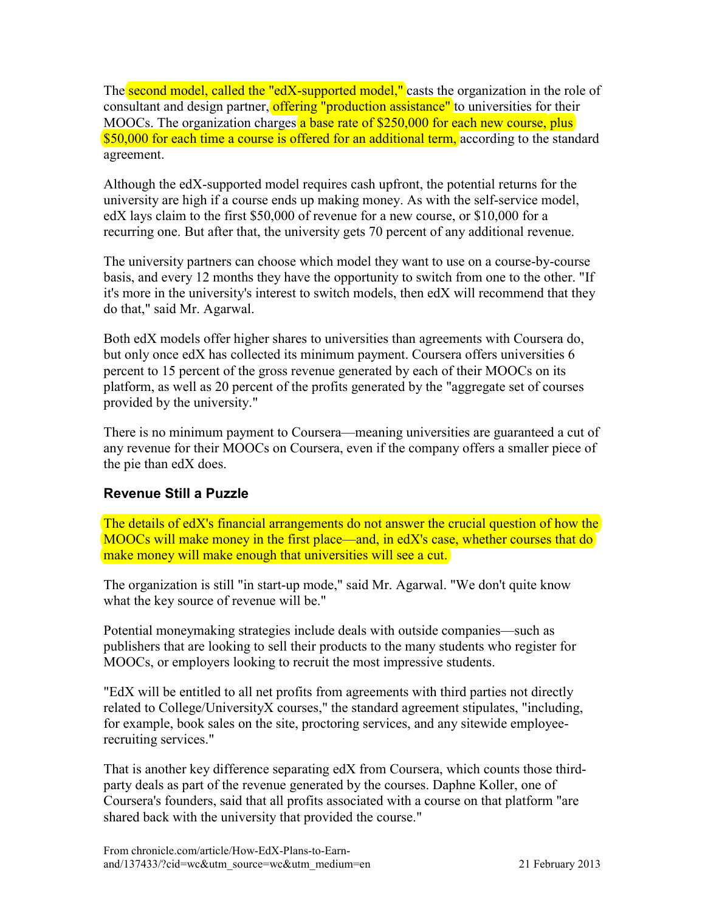The second model, called the "edX-supported model," casts the organization in the role of consultant and design partner, offering "production assistance" to universities for their MOOCs. The organization charges a base rate of \$250,000 for each new course, plus \$50,000 for each time a course is offered for an additional term, according to the standard agreement.

Although the edX-supported model requires cash upfront, the potential returns for the university are high if a course ends up making money. As with the self-service model, edX lays claim to the first \$50,000 of revenue for a new course, or \$10,000 for a recurring one. But after that, the university gets 70 percent of any additional revenue.

The university partners can choose which model they want to use on a course-by-course basis, and every 12 months they have the opportunity to switch from one to the other. "If it's more in the university's interest to switch models, then edX will recommend that they do that," said Mr. Agarwal.

Both edX models offer higher shares to universities than agreements with Coursera do, but only once edX has collected its minimum payment. Coursera offers universities 6 percent to 15 percent of the gross revenue generated by each of their MOOCs on its platform, as well as 20 percent of the profits generated by the "aggregate set of courses provided by the university."

There is no minimum payment to Coursera—meaning universities are guaranteed a cut of any revenue for their MOOCs on Coursera, even if the company offers a smaller piece of the pie than edX does.

### **Revenue Still a Puzzle**

The details of edX's financial arrangements do not answer the crucial question of how the MOOCs will make money in the first place—and, in edX's case, whether courses that do make money will make enough that universities will see a cut.

The organization is still "in start-up mode," said Mr. Agarwal. "We don't quite know what the key source of revenue will be."

Potential moneymaking strategies include deals with outside companies—such as publishers that are looking to sell their products to the many students who register for MOOCs, or employers looking to recruit the most impressive students.

"EdX will be entitled to all net profits from agreements with third parties not directly related to College/UniversityX courses," the standard agreement stipulates, "including, for example, book sales on the site, proctoring services, and any sitewide employeerecruiting services."

That is another key difference separating edX from Coursera, which counts those thirdparty deals as part of the revenue generated by the courses. Daphne Koller, one of Coursera's founders, said that all profits associated with a course on that platform "are shared back with the university that provided the course."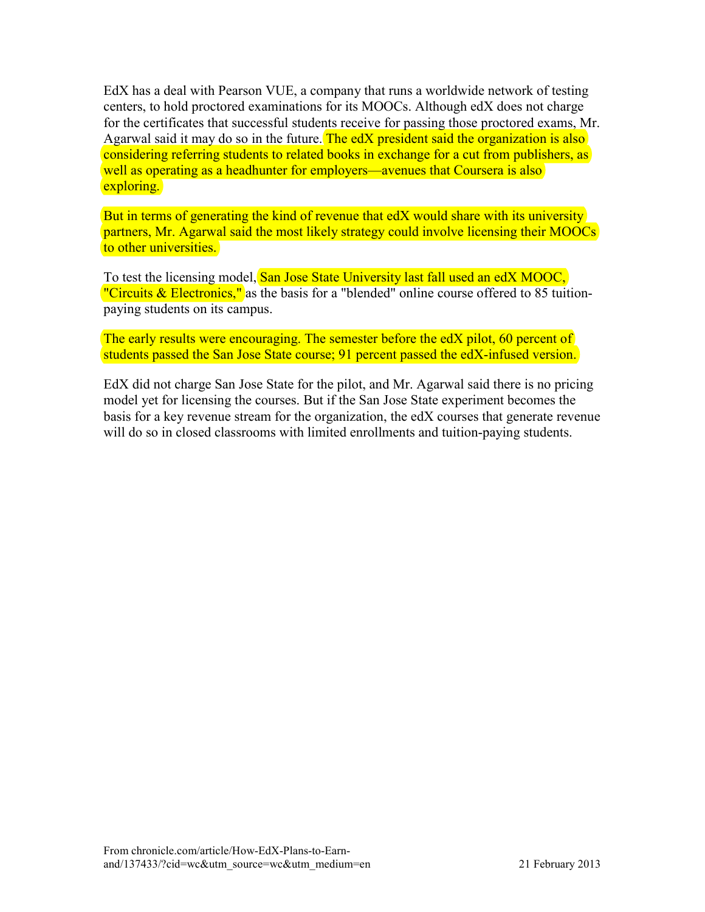EdX has a deal with Pearson VUE, a company that runs a worldwide network of testing centers, to hold proctored examinations for its MOOCs. Although edX does not charge for the certificates that successful students receive for passing those proctored exams, Mr. Agarwal said it may do so in the future. The edX president said the organization is also considering referring students to related books in exchange for a cut from publishers, as well as operating as a headhunter for employers—avenues that Coursera is also exploring.

But in terms of generating the kind of revenue that edX would share with its university partners, Mr. Agarwal said the most likely strategy could involve licensing their MOOCs to other universities.

To test the licensing model, San Jose State University last fall used an edX MOOC, "Circuits & Electronics," as the basis for a "blended" online course offered to 85 tuitionpaying students on its campus.

The early results were encouraging. The semester before the edX pilot, 60 percent of students passed the San Jose State course; 91 percent passed the edX-infused version.

EdX did not charge San Jose State for the pilot, and Mr. Agarwal said there is no pricing model yet for licensing the courses. But if the San Jose State experiment becomes the basis for a key revenue stream for the organization, the edX courses that generate revenue will do so in closed classrooms with limited enrollments and tuition-paying students.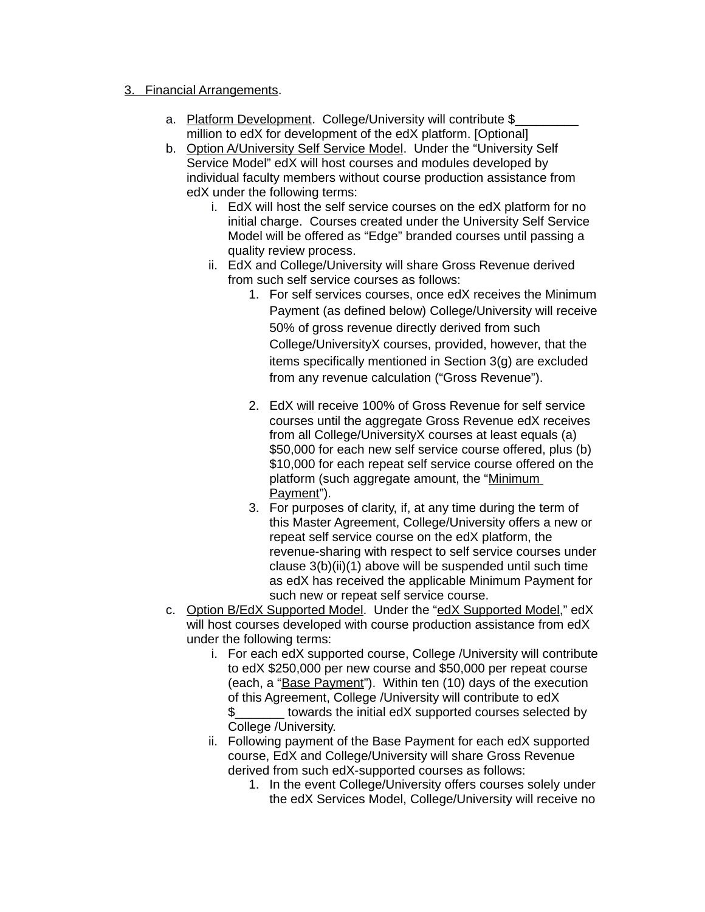#### 3. Financial Arrangements.

- a. Platform Development. College/University will contribute \$ million to edX for development of the edX platform. [Optional]
- b. Option A/University Self Service Model. Under the "University Self Service Model" edX will host courses and modules developed by individual faculty members without course production assistance from edX under the following terms:
	- i. EdX will host the self service courses on the edX platform for no initial charge. Courses created under the University Self Service Model will be offered as "Edge" branded courses until passing a quality review process.
	- ii. EdX and College/University will share Gross Revenue derived from such self service courses as follows:
		- 1. For self services courses, once edX receives the Minimum Payment (as defined below) College/University will receive 50% of gross revenue directly derived from such College/UniversityX courses, provided, however, that the items specifically mentioned in Section 3(g) are excluded from any revenue calculation ("Gross Revenue").
		- 2. EdX will receive 100% of Gross Revenue for self service courses until the aggregate Gross Revenue edX receives from all College/UniversityX courses at least equals (a) \$50,000 for each new self service course offered, plus (b) \$10,000 for each repeat self service course offered on the platform (such aggregate amount, the "Minimum Payment").
		- 3. For purposes of clarity, if, at any time during the term of this Master Agreement, College/University offers a new or repeat self service course on the edX platform, the revenue-sharing with respect to self service courses under clause 3(b)(ii)(1) above will be suspended until such time as edX has received the applicable Minimum Payment for such new or repeat self service course.
- c. Option B/EdX Supported Model. Under the "edX Supported Model," edX will host courses developed with course production assistance from edX under the following terms:
	- i. For each edX supported course, College /University will contribute to edX \$250,000 per new course and \$50,000 per repeat course (each, a "Base Payment"). Within ten (10) days of the execution of this Agreement, College /University will contribute to edX \$\_\_\_\_\_\_\_ towards the initial edX supported courses selected by College /University.
	- ii. Following payment of the Base Payment for each edX supported course, EdX and College/University will share Gross Revenue derived from such edX-supported courses as follows:
		- 1. In the event College/University offers courses solely under the edX Services Model, College/University will receive no